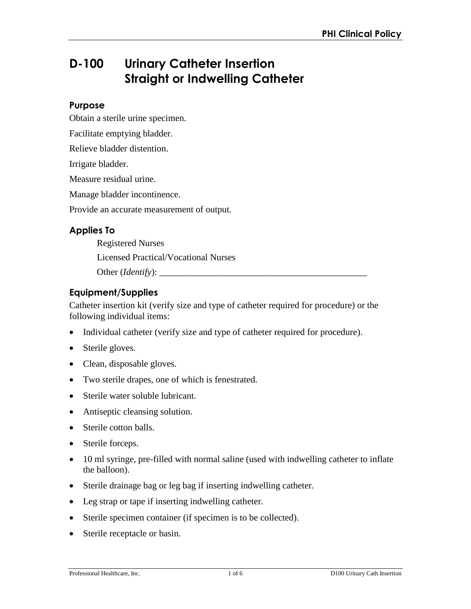# **D-100 Urinary Catheter Insertion Straight or Indwelling Catheter**

### **Purpose**

Obtain a sterile urine specimen.

Facilitate emptying bladder.

Relieve bladder distention.

Irrigate bladder.

Measure residual urine.

Manage bladder incontinence.

Provide an accurate measurement of output.

## **Applies To**

Registered Nurses Licensed Practical/Vocational Nurses Other (*Identify*): \_\_\_\_\_\_\_\_\_\_\_\_\_\_\_\_\_\_\_\_\_\_\_\_\_\_\_\_\_\_\_\_\_\_\_\_\_\_\_\_\_\_\_\_\_

## **Equipment/Supplies**

Catheter insertion kit (verify size and type of catheter required for procedure) or the following individual items:

- Individual catheter (verify size and type of catheter required for procedure).
- Sterile gloves.
- Clean, disposable gloves.
- Two sterile drapes, one of which is fenestrated.
- Sterile water soluble lubricant.
- Antiseptic cleansing solution.
- Sterile cotton balls.
- Sterile forceps.
- 10 ml syringe, pre-filled with normal saline (used with indwelling catheter to inflate the balloon).
- Sterile drainage bag or leg bag if inserting indwelling catheter.
- Leg strap or tape if inserting indwelling catheter.
- Sterile specimen container (if specimen is to be collected).
- Sterile receptacle or basin.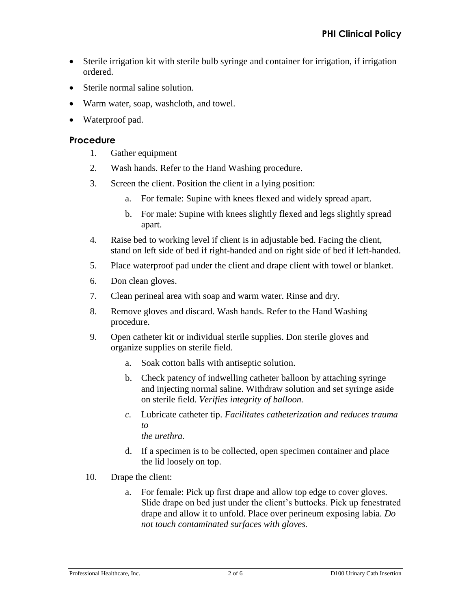- Sterile irrigation kit with sterile bulb syringe and container for irrigation, if irrigation ordered.
- Sterile normal saline solution.
- Warm water, soap, washcloth, and towel.
- Waterproof pad.

### **Procedure**

- 1. Gather equipment
- 2. Wash hands. Refer to the Hand Washing procedure.
- 3. Screen the client. Position the client in a lying position:
	- a. For female: Supine with knees flexed and widely spread apart.
	- b. For male: Supine with knees slightly flexed and legs slightly spread apart.
- 4. Raise bed to working level if client is in adjustable bed. Facing the client, stand on left side of bed if right-handed and on right side of bed if left-handed.
- 5. Place waterproof pad under the client and drape client with towel or blanket.
- 6. Don clean gloves.
- 7. Clean perineal area with soap and warm water. Rinse and dry.
- 8. Remove gloves and discard. Wash hands. Refer to the Hand Washing procedure.
- 9. Open catheter kit or individual sterile supplies. Don sterile gloves and organize supplies on sterile field.
	- a. Soak cotton balls with antiseptic solution.
	- b. Check patency of indwelling catheter balloon by attaching syringe and injecting normal saline. Withdraw solution and set syringe aside on sterile field. *Verifies integrity of balloon.*
	- *c.* Lubricate catheter tip. *Facilitates catheterization and reduces trauma to the urethra.*
	- d. If a specimen is to be collected, open specimen container and place the lid loosely on top.
- 10. Drape the client:
	- a. For female: Pick up first drape and allow top edge to cover gloves. Slide drape on bed just under the client's buttocks. Pick up fenestrated drape and allow it to unfold. Place over perineum exposing labia. *Do not touch contaminated surfaces with gloves.*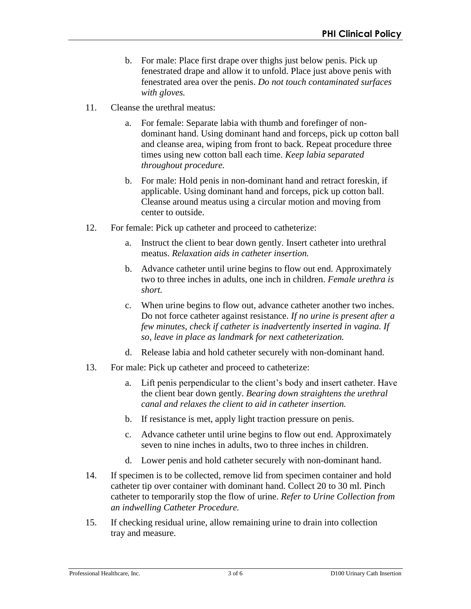- b. For male: Place first drape over thighs just below penis. Pick up fenestrated drape and allow it to unfold. Place just above penis with fenestrated area over the penis. *Do not touch contaminated surfaces with gloves.*
- 11. Cleanse the urethral meatus:
	- For female: Separate labia with thumb and forefinger of nondominant hand. Using dominant hand and forceps, pick up cotton ball and cleanse area, wiping from front to back. Repeat procedure three times using new cotton ball each time. *Keep labia separated throughout procedure.*
	- b. For male: Hold penis in non-dominant hand and retract foreskin, if applicable. Using dominant hand and forceps, pick up cotton ball. Cleanse around meatus using a circular motion and moving from center to outside.
- 12. For female: Pick up catheter and proceed to catheterize:
	- a. Instruct the client to bear down gently. Insert catheter into urethral meatus. *Relaxation aids in catheter insertion.*
	- b. Advance catheter until urine begins to flow out end. Approximately two to three inches in adults, one inch in children. *Female urethra is short.*
	- c. When urine begins to flow out, advance catheter another two inches. Do not force catheter against resistance. *If no urine is present after a few minutes, check if catheter is inadvertently inserted in vagina. If so, leave in place as landmark for next catheterization.*
	- d. Release labia and hold catheter securely with non-dominant hand.
- 13. For male: Pick up catheter and proceed to catheterize:
	- a. Lift penis perpendicular to the client's body and insert catheter. Have the client bear down gently. *Bearing down straightens the urethral canal and relaxes the client to aid in catheter insertion.*
	- b. If resistance is met, apply light traction pressure on penis.
	- c. Advance catheter until urine begins to flow out end. Approximately seven to nine inches in adults, two to three inches in children.
	- d. Lower penis and hold catheter securely with non-dominant hand.
- 14. If specimen is to be collected, remove lid from specimen container and hold catheter tip over container with dominant hand. Collect 20 to 30 ml. Pinch catheter to temporarily stop the flow of urine. *Refer to Urine Collection from an indwelling Catheter Procedure.*
- 15. If checking residual urine, allow remaining urine to drain into collection tray and measure.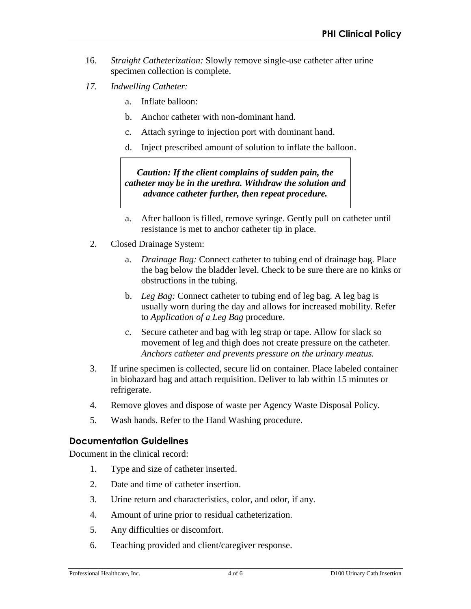- 16. *Straight Catheterization:* Slowly remove single-use catheter after urine specimen collection is complete.
- *17. Indwelling Catheter:* 
	- a. Inflate balloon:
	- b. Anchor catheter with non-dominant hand.
	- c. Attach syringe to injection port with dominant hand.
	- d. Inject prescribed amount of solution to inflate the balloon.

*Caution: If the client complains of sudden pain, the catheter may be in the urethra. Withdraw the solution and advance catheter further, then repeat procedure.* 

- a. After balloon is filled, remove syringe. Gently pull on catheter until resistance is met to anchor catheter tip in place.
- 2. Closed Drainage System:
	- a. *Drainage Bag:* Connect catheter to tubing end of drainage bag. Place the bag below the bladder level. Check to be sure there are no kinks or obstructions in the tubing.
	- b. *Leg Bag:* Connect catheter to tubing end of leg bag. A leg bag is usually worn during the day and allows for increased mobility. Refer to *Application of a Leg Bag* procedure.
	- c. Secure catheter and bag with leg strap or tape. Allow for slack so movement of leg and thigh does not create pressure on the catheter. *Anchors catheter and prevents pressure on the urinary meatus.*
- 3. If urine specimen is collected, secure lid on container. Place labeled container in biohazard bag and attach requisition. Deliver to lab within 15 minutes or refrigerate.
- 4. Remove gloves and dispose of waste per Agency Waste Disposal Policy.
- 5. Wash hands. Refer to the Hand Washing procedure.

#### **Documentation Guidelines**

Document in the clinical record:

- 1. Type and size of catheter inserted.
- 2. Date and time of catheter insertion.
- 3. Urine return and characteristics, color, and odor, if any.
- 4. Amount of urine prior to residual catheterization.
- 5. Any difficulties or discomfort.
- 6. Teaching provided and client/caregiver response.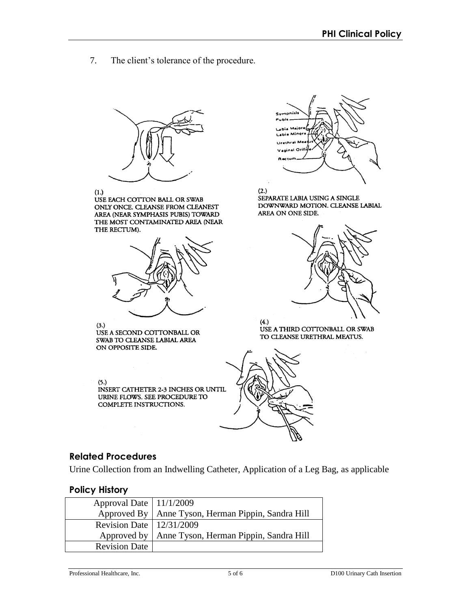7. The client's tolerance of the procedure.



 $(1.)$ 

USE EACH COTTON BALL OR SWAB ONLY ONCE. CLEANSE FROM CLEANEST AREA (NEAR SYMPHASIS PUBIS) TOWARD THE MOST CONTAMINATED AREA (NEAR THE RECTUM).





 $(2.)$ SEPARATE LABIA USING A SINGLE DOWNWARD MOTION. CLEANSE LABIAL AREA ON ONE SIDE.



 $(3.)$ USE A SECOND COTTONBALL OR SWAB TO CLEANSE LABIAL AREA ON OPPOSITE SIDE.

 $(5.)$ 

INSERT CATHETER 2-3 INCHES OR UNTIL URINE FLOWS. SEE PROCEDURE TO COMPLETE INSTRUCTIONS.

 $(4.)$ USE A THIRD COTTONBALL OR SWAB TO CLEANSE URETHRAL MEATUS.



## **Related Procedures**

Urine Collection from an Indwelling Catheter, Application of a Leg Bag, as applicable

## **Policy History**

| Approval Date   11/1/2009    |                                                      |
|------------------------------|------------------------------------------------------|
|                              | Approved By   Anne Tyson, Herman Pippin, Sandra Hill |
| Revision Date   $12/31/2009$ |                                                      |
|                              | Approved by   Anne Tyson, Herman Pippin, Sandra Hill |
| <b>Revision Date</b>         |                                                      |